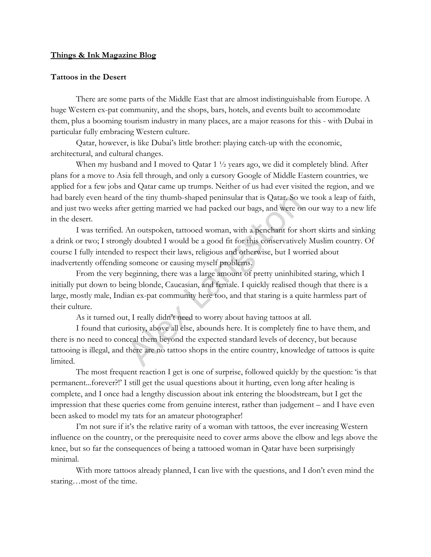## **Things & Ink Magazine Blog**

## **Tattoos in the Desert**

There are some parts of the Middle East that are almost indistinguishable from Europe. A huge Western ex-pat community, and the shops, bars, hotels, and events built to accommodate them, plus a booming tourism industry in many places, are a major reasons for this - with Dubai in particular fully embracing Western culture.

Qatar, however, is like Dubai's little brother: playing catch-up with the economic, architectural, and cultural changes.

When my husband and I moved to Qatar 1  $\frac{1}{2}$  years ago, we did it completely blind. After plans for a move to Asia fell through, and only a cursory Google of Middle Eastern countries, we applied for a few jobs and Qatar came up trumps. Neither of us had ever visited the region, and we had barely even heard of the tiny thumb-shaped peninsular that is Qatar. So we took a leap of faith, and just two weeks after getting married we had packed our bags, and were on our way to a new life in the desert.

I was terrified. An outspoken, tattooed woman, with a penchant for short skirts and sinking a drink or two; I strongly doubted I would be a good fit for this conservatively Muslim country. Of course I fully intended to respect their laws, religious and otherwise, but I worried about inadvertently offending someone or causing myself problems. of the tiny thumb-shaped peninsular that is Qatar. So vert getting married we had packed our bags, and were on<br>An outspoken, tattooed woman, with a penchant for s<br>gly doubted I would be a good fit for this conservativel<br>to

From the very beginning, there was a large amount of pretty uninhibited staring, which I initially put down to being blonde, Caucasian, and female. I quickly realised though that there is a large, mostly male, Indian ex-pat community here too, and that staring is a quite harmless part of their culture.

As it turned out, I really didn't need to worry about having tattoos at all.

I found that curiosity, above all else, abounds here. It is completely fine to have them, and there is no need to conceal them beyond the expected standard levels of decency, but because tattooing is illegal, and there are no tattoo shops in the entire country, knowledge of tattoos is quite limited.

The most frequent reaction I get is one of surprise, followed quickly by the question: 'is that permanent...forever?!' I still get the usual questions about it hurting, even long after healing is complete, and I once had a lengthy discussion about ink entering the bloodstream, but I get the impression that these queries come from genuine interest, rather than judgement – and I have even been asked to model my tats for an amateur photographer!

I'm not sure if it's the relative rarity of a woman with tattoos, the ever increasing Western influence on the country, or the prerequisite need to cover arms above the elbow and legs above the knee, but so far the consequences of being a tattooed woman in Qatar have been surprisingly minimal.

With more tattoos already planned, I can live with the questions, and I don't even mind the staring…most of the time.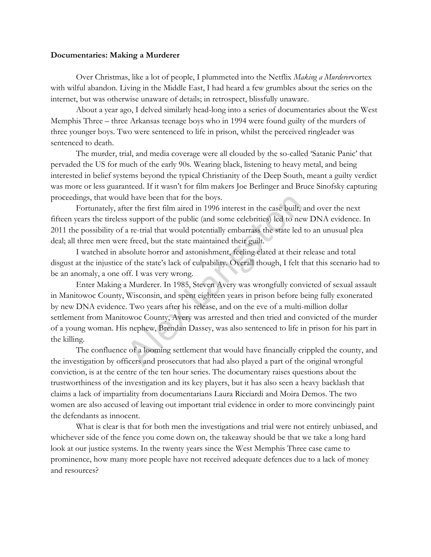## **Documentaries: Making a Murderer**

Over Christmas, like a lot of people, I plummeted into the Netflix *Making a Murderer*vortex with wilful abandon. Living in the Middle East, I had heard a few grumbles about the series on the internet, but was otherwise unaware of details; in retrospect, blissfully unaware.

About a year ago, I delved similarly head-long into a series of documentaries about the [West](https://en.wikipedia.org/wiki/West_Memphis_Three)  [Memphis Three](https://en.wikipedia.org/wiki/West_Memphis_Three) – three Arkansas teenage boys who in 1994 were found guilty of the murders of three younger boys. Two were sentenced to life in prison, whilst the perceived ringleader was sentenced to death.

The murder, trial, and media coverage were all clouded by the so-called 'Satanic Panic' that pervaded the US for much of the early 90s. Wearing black, listening to heavy metal, and being interested in belief systems beyond the typical Christianity of the Deep South, meant a guilty verdict was more or less guaranteed. If it wasn't for film makers [Joe Berlinger](http://www.imdb.com/name/nm0075666/) and Bruce Sinofsky capturing proceedings, that would have been that for the boys.

Fortunately, after the first film aired in 1996 interest in the case built, and over the next fifteen years the tireless support of the public (and some celebrities) led to new DNA evidence. In 2011 the possibility of a re-trial that would potentially embarrass the state led to an unusual plea deal; all three men were freed, but the state maintained their guilt.

I watched in absolute horror and astonishment, feeling elated at their release and total disgust at the injustice of the state's lack of culpability. Overall though, I felt that this scenario had to be an anomaly, a one off. I was very wrong.

Enter Making a Murderer. In 1985, Steven Avery was wrongfully convicted of sexual assault in Manitowoc County, Wisconsin, and spent eighteen years in prison before being fully exonerated by new DNA evidence. Two years after his release, and on the eve of a multi-million dollar settlement from Manitowoc County, Avery was arrested and then tried and convicted of the murder of a young woman. His nephew, Brendan Dassey, was also sentenced to life in prison for his part in the killing. d have been that for the boys.<br>
ter the first film aired in 1996 interest in the case built,<br>
s support of the public (and some celebrities) led to ne<br>
a re-trial that would potentially embarrass the state led<br>
e freed, bu

The confluence of a looming settlement that would have financially crippled the county, and the investigation by officers and prosecutors that had also played a part of the original wrongful conviction, is at the centre of the ten hour series. The documentary raises questions about the trustworthiness of the investigation and its key players, but it has also seen a heavy backlash that claims a lack of impartiality from documentarians [Laura Ricciardi](https://en.wikipedia.org/wiki/Laura_Ricciardi) and [Moira Demos.](http://www.imdb.com/name/nm0218668/) The two women are also accused of leaving out important trial evidence in order to more convincingly paint the defendants as innocent.

What is clear is that for both men the investigations and trial were not entirely unbiased, and whichever side of the fence you come down on, the takeaway should be that we take a long hard look at our justice systems. In the twenty years since the West Memphis Three case came to prominence, how many more people have not received adequate defences due to a lack of money and resources?